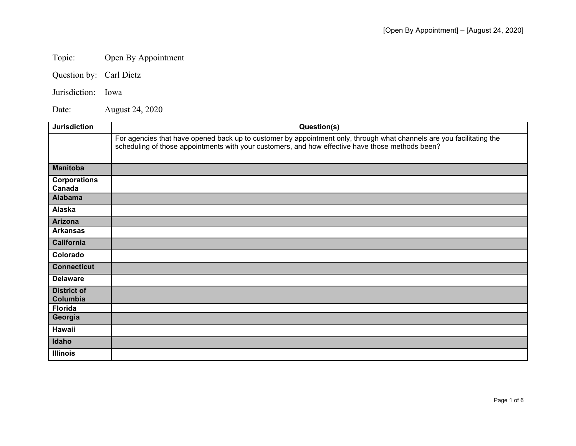## Topic: Open By Appointment

Question by: Carl Dietz

Jurisdiction: Iowa

Date: August 24, 2020

| <b>Jurisdiction</b>            | Question(s)                                                                                                                                                                                                               |
|--------------------------------|---------------------------------------------------------------------------------------------------------------------------------------------------------------------------------------------------------------------------|
|                                | For agencies that have opened back up to customer by appointment only, through what channels are you facilitating the<br>scheduling of those appointments with your customers, and how effective have those methods been? |
| <b>Manitoba</b>                |                                                                                                                                                                                                                           |
| <b>Corporations</b><br>Canada  |                                                                                                                                                                                                                           |
| <b>Alabama</b>                 |                                                                                                                                                                                                                           |
| Alaska                         |                                                                                                                                                                                                                           |
| <b>Arizona</b>                 |                                                                                                                                                                                                                           |
| <b>Arkansas</b>                |                                                                                                                                                                                                                           |
| <b>California</b>              |                                                                                                                                                                                                                           |
| Colorado                       |                                                                                                                                                                                                                           |
| <b>Connecticut</b>             |                                                                                                                                                                                                                           |
| <b>Delaware</b>                |                                                                                                                                                                                                                           |
| <b>District of</b><br>Columbia |                                                                                                                                                                                                                           |
| <b>Florida</b>                 |                                                                                                                                                                                                                           |
| Georgia                        |                                                                                                                                                                                                                           |
| Hawaii                         |                                                                                                                                                                                                                           |
| Idaho                          |                                                                                                                                                                                                                           |
| <b>Illinois</b>                |                                                                                                                                                                                                                           |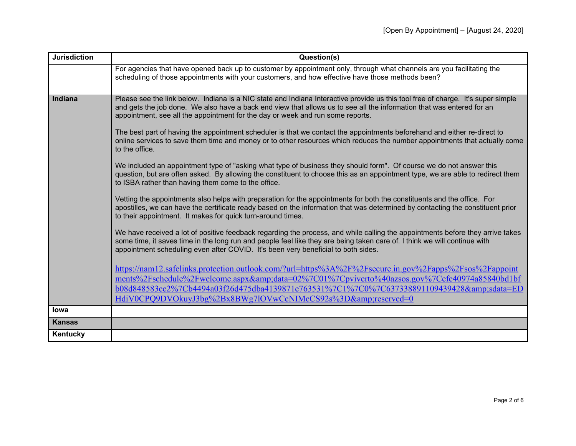| <b>Jurisdiction</b> | Question(s)                                                                                                                                                                                                                                                                                                                                      |
|---------------------|--------------------------------------------------------------------------------------------------------------------------------------------------------------------------------------------------------------------------------------------------------------------------------------------------------------------------------------------------|
|                     | For agencies that have opened back up to customer by appointment only, through what channels are you facilitating the                                                                                                                                                                                                                            |
|                     | scheduling of those appointments with your customers, and how effective have those methods been?                                                                                                                                                                                                                                                 |
| <b>Indiana</b>      | Please see the link below. Indiana is a NIC state and Indiana Interactive provide us this tool free of charge. It's super simple                                                                                                                                                                                                                 |
|                     | and gets the job done. We also have a back end view that allows us to see all the information that was entered for an<br>appointment, see all the appointment for the day or week and run some reports.                                                                                                                                          |
|                     | The best part of having the appointment scheduler is that we contact the appointments beforehand and either re-direct to<br>online services to save them time and money or to other resources which reduces the number appointments that actually come<br>to the office.                                                                         |
|                     | We included an appointment type of "asking what type of business they should form". Of course we do not answer this<br>question, but are often asked. By allowing the constituent to choose this as an appointment type, we are able to redirect them<br>to ISBA rather than having them come to the office.                                     |
|                     | Vetting the appointments also helps with preparation for the appointments for both the constituents and the office. For<br>apostilles, we can have the certificate ready based on the information that was determined by contacting the constituent prior<br>to their appointment. It makes for quick turn-around times.                         |
|                     | We have received a lot of positive feedback regarding the process, and while calling the appointments before they arrive takes<br>some time, it saves time in the long run and people feel like they are being taken care of. I think we will continue with<br>appointment scheduling even after COVID. It's been very beneficial to both sides. |
|                     | https://nam12.safelinks.protection.outlook.com/?url=https%3A%2F%2Fsecure.in.gov%2Fapps%2Fsos%2Fappoint<br>ments%2Fschedule%2Fwelcome.aspx&data=02%7C01%7Cpviverto%40azsos.gov%7Cefe40974a85840bd1bf                                                                                                                                              |
|                     | b08d848583cc2%7Cb4494a03f26d475dba4139871e763531%7C1%7C0%7C637338891109439428&sdata=ED                                                                                                                                                                                                                                                           |
|                     | HdiV0CPQ9DVOkuyJ3bg%2Bx8BWg7lOVwCcNIMcCS92s%3D&reserved=0                                                                                                                                                                                                                                                                                        |
| lowa                |                                                                                                                                                                                                                                                                                                                                                  |
| <b>Kansas</b>       |                                                                                                                                                                                                                                                                                                                                                  |
| Kentucky            |                                                                                                                                                                                                                                                                                                                                                  |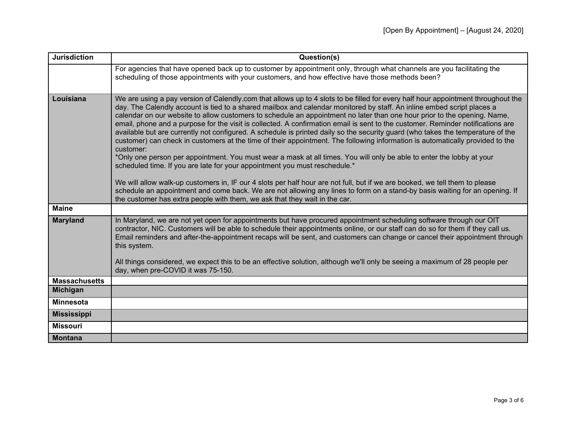| <b>Jurisdiction</b>                     | Question(s)                                                                                                                                                                                                                                                                                                                                                                                                                                                                                                                                                                                                                                                                                                                                                                                                                                                                                                                                                                                                                                                                                                                                                                                                                                                                     |
|-----------------------------------------|---------------------------------------------------------------------------------------------------------------------------------------------------------------------------------------------------------------------------------------------------------------------------------------------------------------------------------------------------------------------------------------------------------------------------------------------------------------------------------------------------------------------------------------------------------------------------------------------------------------------------------------------------------------------------------------------------------------------------------------------------------------------------------------------------------------------------------------------------------------------------------------------------------------------------------------------------------------------------------------------------------------------------------------------------------------------------------------------------------------------------------------------------------------------------------------------------------------------------------------------------------------------------------|
|                                         | For agencies that have opened back up to customer by appointment only, through what channels are you facilitating the<br>scheduling of those appointments with your customers, and how effective have those methods been?                                                                                                                                                                                                                                                                                                                                                                                                                                                                                                                                                                                                                                                                                                                                                                                                                                                                                                                                                                                                                                                       |
| Louisiana                               |                                                                                                                                                                                                                                                                                                                                                                                                                                                                                                                                                                                                                                                                                                                                                                                                                                                                                                                                                                                                                                                                                                                                                                                                                                                                                 |
|                                         | We are using a pay version of Calendly.com that allows up to 4 slots to be filled for every half hour appointment throughout the<br>day. The Calendly account is tied to a shared mailbox and calendar monitored by staff. An inline embed script places a<br>calendar on our website to allow customers to schedule an appointment no later than one hour prior to the opening. Name,<br>email, phone and a purpose for the visit is collected. A confirmation email is sent to the customer. Reminder notifications are<br>available but are currently not configured. A schedule is printed daily so the security guard (who takes the temperature of the<br>customer) can check in customers at the time of their appointment. The following information is automatically provided to the<br>customer:<br>*Only one person per appointment. You must wear a mask at all times. You will only be able to enter the lobby at your<br>scheduled time. If you are late for your appointment you must reschedule.*<br>We will allow walk-up customers in, IF our 4 slots per half hour are not full, but if we are booked, we tell them to please<br>schedule an appointment and come back. We are not allowing any lines to form on a stand-by basis waiting for an opening. If |
|                                         | the customer has extra people with them, we ask that they wait in the car.                                                                                                                                                                                                                                                                                                                                                                                                                                                                                                                                                                                                                                                                                                                                                                                                                                                                                                                                                                                                                                                                                                                                                                                                      |
| <b>Maine</b>                            |                                                                                                                                                                                                                                                                                                                                                                                                                                                                                                                                                                                                                                                                                                                                                                                                                                                                                                                                                                                                                                                                                                                                                                                                                                                                                 |
| <b>Maryland</b>                         | In Maryland, we are not yet open for appointments but have procured appointment scheduling software through our OIT<br>contractor, NIC. Customers will be able to schedule their appointments online, or our staff can do so for them if they call us.<br>Email reminders and after-the-appointment recaps will be sent, and customers can change or cancel their appointment through<br>this system.<br>All things considered, we expect this to be an effective solution, although we'll only be seeing a maximum of 28 people per                                                                                                                                                                                                                                                                                                                                                                                                                                                                                                                                                                                                                                                                                                                                            |
|                                         | day, when pre-COVID it was 75-150.                                                                                                                                                                                                                                                                                                                                                                                                                                                                                                                                                                                                                                                                                                                                                                                                                                                                                                                                                                                                                                                                                                                                                                                                                                              |
| <b>Massachusetts</b><br><b>Michigan</b> |                                                                                                                                                                                                                                                                                                                                                                                                                                                                                                                                                                                                                                                                                                                                                                                                                                                                                                                                                                                                                                                                                                                                                                                                                                                                                 |
|                                         |                                                                                                                                                                                                                                                                                                                                                                                                                                                                                                                                                                                                                                                                                                                                                                                                                                                                                                                                                                                                                                                                                                                                                                                                                                                                                 |
| <b>Minnesota</b>                        |                                                                                                                                                                                                                                                                                                                                                                                                                                                                                                                                                                                                                                                                                                                                                                                                                                                                                                                                                                                                                                                                                                                                                                                                                                                                                 |
| <b>Mississippi</b>                      |                                                                                                                                                                                                                                                                                                                                                                                                                                                                                                                                                                                                                                                                                                                                                                                                                                                                                                                                                                                                                                                                                                                                                                                                                                                                                 |
| <b>Missouri</b>                         |                                                                                                                                                                                                                                                                                                                                                                                                                                                                                                                                                                                                                                                                                                                                                                                                                                                                                                                                                                                                                                                                                                                                                                                                                                                                                 |
| <b>Montana</b>                          |                                                                                                                                                                                                                                                                                                                                                                                                                                                                                                                                                                                                                                                                                                                                                                                                                                                                                                                                                                                                                                                                                                                                                                                                                                                                                 |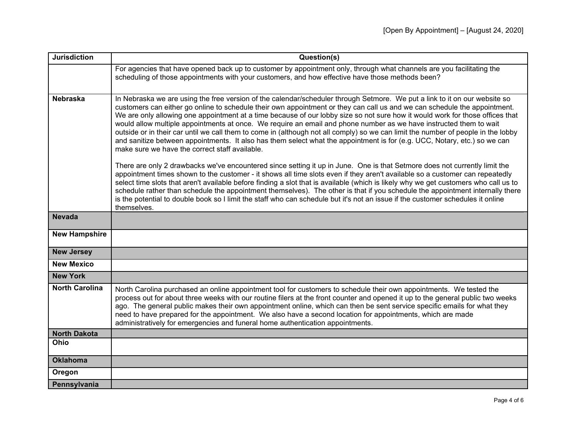| <b>Jurisdiction</b>   | Question(s)                                                                                                                                                                                                                                                                                                                                                                                                                                                                                                                                                                                                                                                                                                                                                                                                                        |
|-----------------------|------------------------------------------------------------------------------------------------------------------------------------------------------------------------------------------------------------------------------------------------------------------------------------------------------------------------------------------------------------------------------------------------------------------------------------------------------------------------------------------------------------------------------------------------------------------------------------------------------------------------------------------------------------------------------------------------------------------------------------------------------------------------------------------------------------------------------------|
|                       | For agencies that have opened back up to customer by appointment only, through what channels are you facilitating the<br>scheduling of those appointments with your customers, and how effective have those methods been?                                                                                                                                                                                                                                                                                                                                                                                                                                                                                                                                                                                                          |
| <b>Nebraska</b>       | In Nebraska we are using the free version of the calendar/scheduler through Setmore. We put a link to it on our website so<br>customers can either go online to schedule their own appointment or they can call us and we can schedule the appointment.<br>We are only allowing one appointment at a time because of our lobby size so not sure how it would work for those offices that<br>would allow multiple appointments at once. We require an email and phone number as we have instructed them to wait<br>outside or in their car until we call them to come in (although not all comply) so we can limit the number of people in the lobby<br>and sanitize between appointments. It also has them select what the appointment is for (e.g. UCC, Notary, etc.) so we can<br>make sure we have the correct staff available. |
|                       | There are only 2 drawbacks we've encountered since setting it up in June. One is that Setmore does not currently limit the<br>appointment times shown to the customer - it shows all time slots even if they aren't available so a customer can repeatedly<br>select time slots that aren't available before finding a slot that is available (which is likely why we get customers who call us to<br>schedule rather than schedule the appointment themselves). The other is that if you schedule the appointment internally there<br>is the potential to double book so I limit the staff who can schedule but it's not an issue if the customer schedules it online<br>themselves.                                                                                                                                              |
| <b>Nevada</b>         |                                                                                                                                                                                                                                                                                                                                                                                                                                                                                                                                                                                                                                                                                                                                                                                                                                    |
| <b>New Hampshire</b>  |                                                                                                                                                                                                                                                                                                                                                                                                                                                                                                                                                                                                                                                                                                                                                                                                                                    |
| <b>New Jersey</b>     |                                                                                                                                                                                                                                                                                                                                                                                                                                                                                                                                                                                                                                                                                                                                                                                                                                    |
| <b>New Mexico</b>     |                                                                                                                                                                                                                                                                                                                                                                                                                                                                                                                                                                                                                                                                                                                                                                                                                                    |
| <b>New York</b>       |                                                                                                                                                                                                                                                                                                                                                                                                                                                                                                                                                                                                                                                                                                                                                                                                                                    |
| <b>North Carolina</b> | North Carolina purchased an online appointment tool for customers to schedule their own appointments. We tested the<br>process out for about three weeks with our routine filers at the front counter and opened it up to the general public two weeks<br>ago. The general public makes their own appointment online, which can then be sent service specific emails for what they<br>need to have prepared for the appointment. We also have a second location for appointments, which are made<br>administratively for emergencies and funeral home authentication appointments.                                                                                                                                                                                                                                                 |
| <b>North Dakota</b>   |                                                                                                                                                                                                                                                                                                                                                                                                                                                                                                                                                                                                                                                                                                                                                                                                                                    |
| Ohio                  |                                                                                                                                                                                                                                                                                                                                                                                                                                                                                                                                                                                                                                                                                                                                                                                                                                    |
| <b>Oklahoma</b>       |                                                                                                                                                                                                                                                                                                                                                                                                                                                                                                                                                                                                                                                                                                                                                                                                                                    |
| Oregon                |                                                                                                                                                                                                                                                                                                                                                                                                                                                                                                                                                                                                                                                                                                                                                                                                                                    |
| Pennsylvania          |                                                                                                                                                                                                                                                                                                                                                                                                                                                                                                                                                                                                                                                                                                                                                                                                                                    |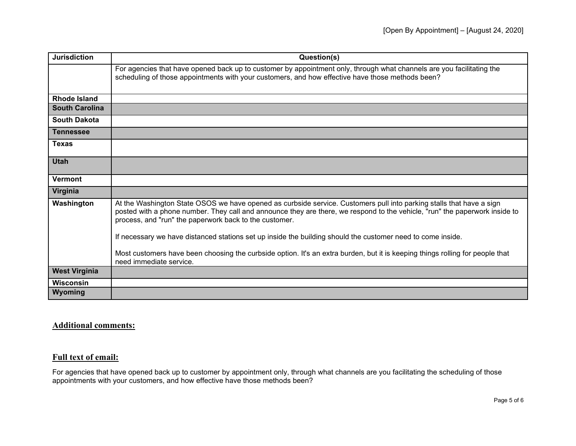| <b>Jurisdiction</b>   | Question(s)                                                                                                                                                                                                                                                                                                   |
|-----------------------|---------------------------------------------------------------------------------------------------------------------------------------------------------------------------------------------------------------------------------------------------------------------------------------------------------------|
|                       | For agencies that have opened back up to customer by appointment only, through what channels are you facilitating the<br>scheduling of those appointments with your customers, and how effective have those methods been?                                                                                     |
| <b>Rhode Island</b>   |                                                                                                                                                                                                                                                                                                               |
| <b>South Carolina</b> |                                                                                                                                                                                                                                                                                                               |
| <b>South Dakota</b>   |                                                                                                                                                                                                                                                                                                               |
| <b>Tennessee</b>      |                                                                                                                                                                                                                                                                                                               |
| <b>Texas</b>          |                                                                                                                                                                                                                                                                                                               |
| <b>Utah</b>           |                                                                                                                                                                                                                                                                                                               |
| Vermont               |                                                                                                                                                                                                                                                                                                               |
| Virginia              |                                                                                                                                                                                                                                                                                                               |
| Washington            | At the Washington State OSOS we have opened as curbside service. Customers pull into parking stalls that have a sign<br>posted with a phone number. They call and announce they are there, we respond to the vehicle, "run" the paperwork inside to<br>process, and "run" the paperwork back to the customer. |
|                       | If necessary we have distanced stations set up inside the building should the customer need to come inside.                                                                                                                                                                                                   |
|                       | Most customers have been choosing the curbside option. It's an extra burden, but it is keeping things rolling for people that<br>need immediate service.                                                                                                                                                      |
| <b>West Virginia</b>  |                                                                                                                                                                                                                                                                                                               |
| <b>Wisconsin</b>      |                                                                                                                                                                                                                                                                                                               |
| Wyoming               |                                                                                                                                                                                                                                                                                                               |

## **Additional comments:**

## **Full text of email:**

For agencies that have opened back up to customer by appointment only, through what channels are you facilitating the scheduling of those appointments with your customers, and how effective have those methods been?